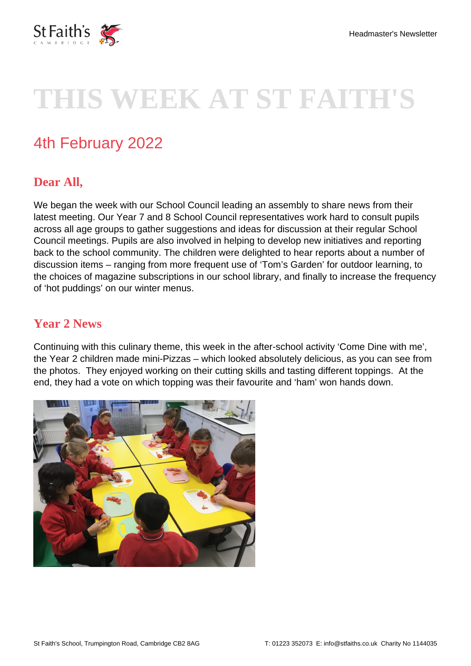

# **THIS WEEK AT ST FAITH'S**

# 4th February 2022

## **Dear All,**

We began the week with our School Council leading an assembly to share news from their latest meeting. Our Year 7 and 8 School Council representatives work hard to consult pupils across all age groups to gather suggestions and ideas for discussion at their regular School Council meetings. Pupils are also involved in helping to develop new initiatives and reporting back to the school community. The children were delighted to hear reports about a number of discussion items – ranging from more frequent use of 'Tom's Garden' for outdoor learning, to the choices of magazine subscriptions in our school library, and finally to increase the frequency of 'hot puddings' on our winter menus.

### **Year 2 News**

Continuing with this culinary theme, this week in the after-school activity 'Come Dine with me', the Year 2 children made mini-Pizzas – which looked absolutely delicious, as you can see from the photos. They enjoyed working on their cutting skills and tasting different toppings. At the end, they had a vote on which topping was their favourite and 'ham' won hands down.